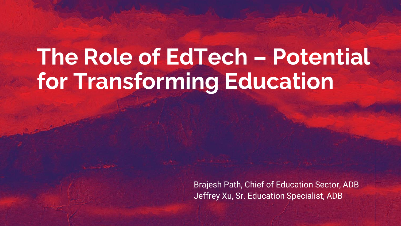# **The Role of EdTech – Potential for Transforming Education**

Brajesh Path, Chief of Education Sector, ADB Jeffrey Xu, Sr. Education Specialist, ADB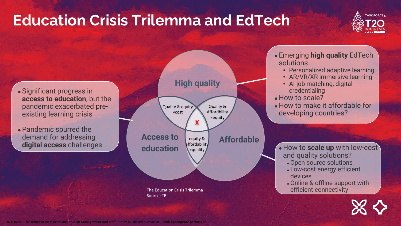## **Education Crisis Trilemma and EdTech**



• Significant progress in **access to education**, but the pandemic exacerbated preexisting learning crisis

• Pandemic spurred the demand for addressing **digital access** challenges



● Emerging **high quality** EdTech solutions

- Personalized adaptive learning
- AR/VR/XR immersive learning
- AI job matching, digital credentialing
- How to scale?
- How to make it affordable for developing countries?

- How to **scale up** with low-cost and quality solutions?
	- Open source solutions
	- Low-cost energy efficient devices
	- Online & offline support with efficient connectivity

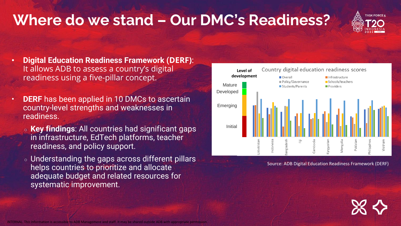### **Where do we stand – Our DMC's Readiness?**



- **Digital Education Readiness Framework (DERF)**: It allows ADB to assess a country's digital readiness using a five-pillar concept.
- **DERF** has been applied in 10 DMCs to ascertain country-level strengths and weaknesses in readiness.
	- **Key findings**: All countries had significant gaps in infrastructure, EdTech platforms, teacher readiness, and policy support.
	- Understanding the gaps across different pillars helps countries to prioritize and allocate adequate budget and related resources for systematic improvement.



Source: ADB Digital Education Readiness Framework (DERF)

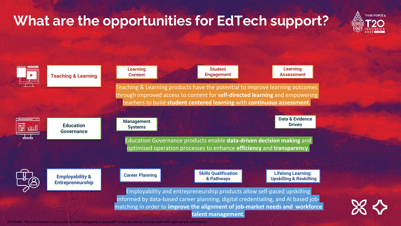### **What are the opportunities for EdTech support?**



| <b>Teaching &amp; Learning</b>                        | <b>Learning</b><br><b>Content</b>   | <b>Student</b><br><b>Engagement</b>                                                                                                                                                                                                                                                                                                                                                             | <b>Learning</b><br><b>Assessment</b>                            |
|-------------------------------------------------------|-------------------------------------|-------------------------------------------------------------------------------------------------------------------------------------------------------------------------------------------------------------------------------------------------------------------------------------------------------------------------------------------------------------------------------------------------|-----------------------------------------------------------------|
| <b>Education</b><br><b>Governance</b>                 | <b>Management</b><br><b>Systems</b> | Teaching & Learning products have the potential to improve learning outcomes<br>through improved access to content for <b>self-directed learning</b> and empowering<br>teachers to build student centered learning with continuous assessment.<br>Education Governance products enable data-driven decision making and<br>optimised operation processes to enhance efficiency and transparency. | Data & Evidence<br><b>Driven</b>                                |
| <b>Employability &amp;</b><br><b>Entrepreneurship</b> | <b>Career Planning</b>              | <b>Skills Qualification</b><br>& Pathways<br>Employability and entrepreneurship products allow self-paced upskilling<br>informed by data-based career planning, digital credentialing, and AI based job-<br>matching in order to improve the alignment of job-market needs and workforce<br>talent management.                                                                                  | <b>Lifelong Learning:</b><br><b>Upskilling &amp; Reskilling</b> |

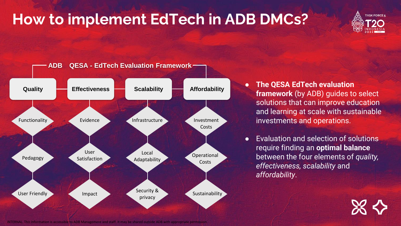## **How to implement EdTech in ADB DMCs?**





- **The QESA EdTech evaluation framework** (by ADB) guides to select solutions that can improve education and learning at scale with sustainable investments and operations.
- **Evaluation and selection of solutions** require finding an **optimal balance** between the four elements of *quality, effectiveness, scalability* and *affordability*.

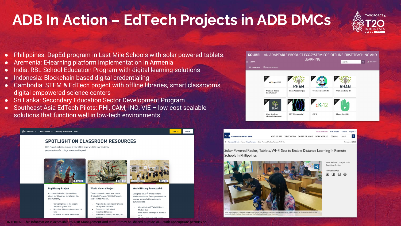INTERNAL. This information is accessible to ADB Management and staff. It may be shared outside ADB with appropriate permission.

#### **ADB In Action – EdTech Projects in ADB DMCs**

JOIN  $\sim$ 

LOGIN

- Philippines: DepEd program in Last Mile Schools with solar powered tablets.
- Aremenia: E-learning platform implementation in Armenia
- India: RBL School Education Program with digital learning solutions
- Indonesia: Blockchain based digital credentialing

 $\bigotimes$  OER PROJECT | Our Courses  $\vee$  Teaching OER Project FAQ

- Cambodia: STEM & EdTech project with offline libraries, smart classrooms, digital empowered science centers
- Sri Lanka: Secondary Education Sector Development Program

**SPOTLIGHT ON CLASSROOM RESOURCES** 

● Southeast Asia EdTech Pilots: PHI, CAM, INO, VIE - low-cost scalable solutions that function well in low-tech environments







Solar-Powered Radios, Tablets, Wi-Fi Sets to Enable Distance Learning in Remote **Schools in Philippines** 



News Release | 12 April 2022 Read time: 3 mins

SHARE THIS PAGE 9 印 间 台